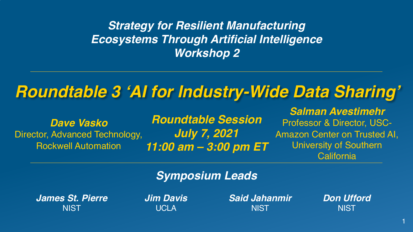### *Strategy for Resilient Manufacturing Ecosystems Through Artificial Intelligence Workshop 2*

### *Roundtable 3 'AI for Industry-Wide Data Sharing'*

*Dave Vasko* Director, Advanced Technology, Rockwell Automation

*Roundtable Session July 7, 2021 11:00 am – 3:00 pm ET*

*Salman Avestimehr* Professor & Director, USC-Amazon Center on Trusted AI, University of Southern **California** 

### *Symposium Leads*

*James St. Pierre* **NIST** 

*Jim Davis* **UCLA** 

*Said Jahanmir* **NIST** 

*Don Ufford* **NIST** 

1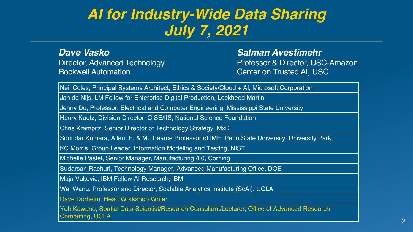### *AI for Industry-Wide Data Sharing July 7, 2021*

*Dave Vasko* Director, Advanced Technology Rockwell Automation

#### *Salman Avestimehr*

Professor & Director, USC-Amazon Center on Trusted AI, USC

Neil Coles, Principal Systems Architect, Ethics & Society/Cloud + AI, Microsoft Corporation

Jan de Nijs, LM Fellow for Enterprise Digital Production, Lockheed Martin

Jenny Du, Professor, Electrical and Computer Engineering, Mississippi State University

Henry Kautz, Division Director, CISE/IIS, National Science Foundation

Chris Krampitz, Senior Director of Technology Strategy, MxD

Soundar Kumara, Allen, E, & M., Pearce Professor of IME, Penn State University, University Park

KC Morris, Group Leader, Information Modeling and Testing, NIST

Michelle Pastel, Senior Manager, Manufacturing 4.0, Corning

Sudarsan Rachuri, Technology Manager, Advanced Manufacturing Office, DOE

Maja Vukovic, IBM Fellow AI Research, IBM

Wei Wang, Professor and Director, Scalable Analytics Institute (ScAi), UCLA

Dave Dorheim, Head Workshop Writer

Yoh Kawano, Spatial Data Scientist/Research Consultant/Lecturer, Office of Advanced Research Computing, UCLA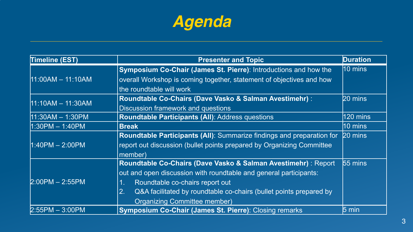

| <b>Timeline (EST)</b> | <b>Presenter and Topic</b>                                               | <b>Duration</b>   |
|-----------------------|--------------------------------------------------------------------------|-------------------|
| 11:00AM - 11:10AM     | Symposium Co-Chair (James St. Pierre): Introductions and how the         | $10 \text{ mins}$ |
|                       | overall Workshop is coming together, statement of objectives and how     |                   |
|                       | the roundtable will work                                                 |                   |
| 11:10AM - 11:30AM     | Roundtable Co-Chairs (Dave Vasko & Salman Avestimehr) :                  | 20 mins           |
|                       | Discussion framework and questions                                       |                   |
| $11:30AM - 1:30PM$    | Roundtable Participants (All): Address questions                         | 120 mins          |
| 1:30PM - 1:40PM       | <b>Break</b>                                                             | $10 \text{ mins}$ |
| $1:40PM - 2:00PM$     | Roundtable Participants (All): Summarize findings and preparation for    | 20 mins           |
|                       | report out discussion (bullet points prepared by Organizing Committee    |                   |
|                       | member)                                                                  |                   |
| $2:00PM - 2:55PM$     | Roundtable Co-Chairs (Dave Vasko & Salman Avestimehr) : Report           | 55 mins           |
|                       | out and open discussion with roundtable and general participants:        |                   |
|                       | Roundtable co-chairs report out<br>1.                                    |                   |
|                       | 2.<br>Q&A facilitated by roundtable co-chairs (bullet points prepared by |                   |
|                       | <b>Organizing Committee member)</b>                                      |                   |
| $2:55PM - 3:00PM$     | Symposium Co-Chair (James St. Pierre): Closing remarks                   | 5 min             |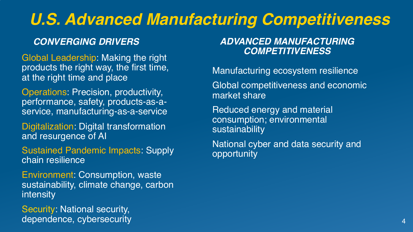# *U.S. Advanced Manufacturing Competitiveness*

*Global Leadership: Making the right* products the right way, the first time, at the right time and place

Operations: Precision, productivity, performance, safety, products-as-aservice, manufacturing-as-a-service

Digitalization: Digital transformation and resurgence of AI

Sustained Pandemic Impacts: Supply chain resilience

Environment: Consumption, waste sustainability, climate change, carbon intensity

Security: National security, dependence, cybersecurity

# *CONVERGING DRIVERS ADVANCED MANUFACTURING*

Manufacturing ecosystem resilience Global competitiveness and economic market share

Reduced energy and material consumption; environmental sustainability

National cyber and data security and opportunity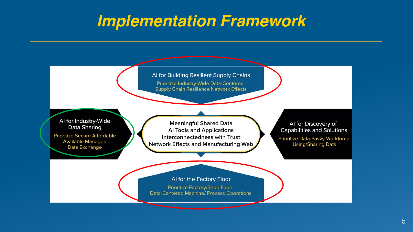### *Implementation Framework*

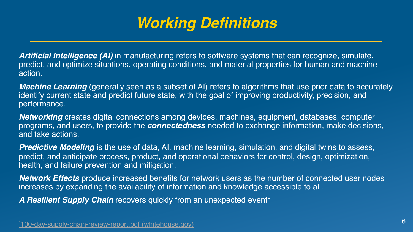# *Working Definitions*

**Artificial Intelligence (AI)** in manufacturing refers to software systems that can recognize, sin predict, and optimize situations, operating conditions, and material properties for human and n action.

*Machine Learning* (generally seen as a subset of AI) refers to algorithms that use prior data to identify current state and predict future state, with the goal of improving productivity, precision, performance.

**Networking** creates digital connections among devices, machines, equipment, databases, core programs, and users, to provide the **connectedness** needed to exchange information, make deand take actions.

**Predictive Modeling** is the use of data, AI, machine learning, simulation, and digital twins to a predict, and anticipate process, product, and operational behaviors for control, design, optimiz health, and failure prevention and mitigation.

*Network Effects* produce increased benefits for network users as the number of connected us increases by expanding the availability of information and knowledge accessible to all.

*A Resilient Supply Chain* recovers quickly from an unexpected event\*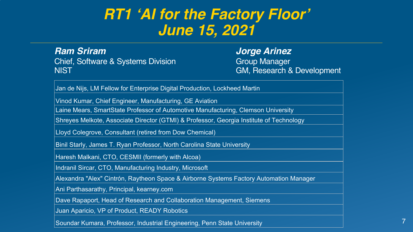### *RT1 'AI for the Factory Floor' June 15, 2021*

*Ram Sriram* Chief, Software & Systems Division NIST

*Jorge Arinez* **Group Manager** GM, Research & Development

Jan de Nijs, LM Fellow for Enterprise Digital Production, Lockheed Martin

Vinod Kumar, Chief Engineer, Manufacturing, GE Aviation

Laine Mears, SmartState Professor of Automotive Manufacturing, Clemson University

Shreyes Melkote, Associate Director (GTMI) & Professor, Georgia Institute of Technology

Lloyd Colegrove, Consultant (retired from Dow Chemical)

Binil Starly, James T. Ryan Professor, North Carolina State University

Haresh Malkani, CTO, CESMII (formerly with Alcoa)

Indranil Sircar, CTO, Manufacturing Industry, Microsoft

Alexandra "Alex" Cintrón, Raytheon Space & Airborne Systems Factory Automation Manager

Ani Parthasarathy, Principal, kearney.com

Dave Rapaport, Head of Research and Collaboration Management, Siemens

Juan Aparicio, VP of Product, READY Robotics

Soundar Kumara, Professor, Industrial Engineering, Penn State University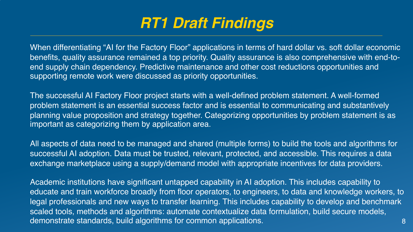### *RT1 Draft Findings*

When differentiating "AI for the Factory Floor" applications in terms of hard dollar vs. soft dollar economic benefits, quality assurance remained a top priority. Quality assurance is also comprehensive with end-toend supply chain dependency. Predictive maintenance and other cost reductions opportunities and supporting remote work were discussed as priority opportunities.

The successful AI Factory Floor project starts with a well-defined problem statement. A well-formed problem statement is an essential success factor and is essential to communicating and substantively planning value proposition and strategy together. Categorizing opportunities by problem statement is as important as categorizing them by application area.

All aspects of data need to be managed and shared (multiple forms) to build the tools and algorithms for successful AI adoption. Data must be trusted, relevant, protected, and accessible. This requires a data exchange marketplace using a supply/demand model with appropriate incentives for data providers.

8 Academic institutions have significant untapped capability in AI adoption. This includes capability to educate and train workforce broadly from floor operators, to engineers, to data and knowledge workers, to legal professionals and new ways to transfer learning. This includes capability to develop and benchmark scaled tools, methods and algorithms: automate contextualize data formulation, build secure models, demonstrate standards, build algorithms for common applications.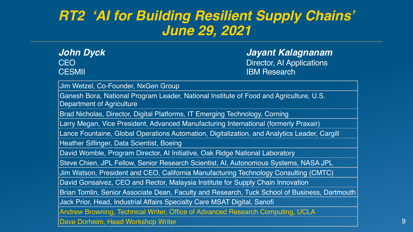### *RT2 'AI for Building Resilient Supply Chains' June 29, 2021*

| John Dyck     | Jayant Kalagnanam         |
|---------------|---------------------------|
| CEO           | Director, Al Applications |
| <b>CESMII</b> | <b>IBM Research</b>       |

Jim Wetzel, Co-Founder, NxGen Group

Ganesh Bora, National Program Leader, National Institute of Food and Agriculture, U.S. Department of Agriculture

Brad Nicholas, Director, Digital Platforms, IT Emerging Technology, Corning

Larry Megan, Vice President, Advanced Manufacturing International (formerly Praxair)

Lance Fountaine, Global Operations Automation, Digitalization, and Analytics Leader, Cargill

Heather Siflinger, Data Scientist, Boeing

David Womble, Program Director, AI Initiative, Oak Ridge National Laboratory

Steve Chien, JPL Fellow, Senior Research Scientist, AI, Autonomous Systems, NASA JPL

Jim Watson, President and CEO, California Manufacturing Technology Consulting (CMTC)

David Gonsalvez, CEO and Rector, Malaysia Institute for Supply Chain Innovation

Brian Tomlin, Senior Associate Dean, Faculty and Research, Tuck School of Business, Dartmouth

Jack Prior, Head, Industrial Affairs Specialty Care MSAT Digital, Sanofi

Andrew Browning, Technical Writer, Office of Advanced Research Computing, UCLA

Dave Dorheim, Head Workshop Writer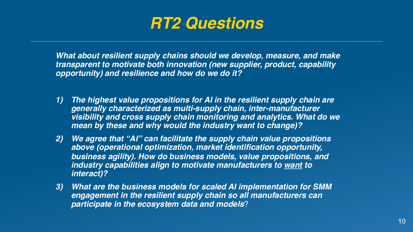

*What about resilient supply chains should we develop, measure, and make transparent to motivate both innovation (new supplier, product, capability opportunity) and resilience and how do we do it?*

- *1) The highest value propositions for AI in the resilient supply chain are generally characterized as multi-supply chain, inter-manufacturer visibility and cross supply chain monitoring and analytics. What do we mean by these and why would the industry want to change)?*
- *2) We agree that "AI" can facilitate the supply chain value propositions above (operational optimization, market identification opportunity, business agility). How do business models, value propositions, and industry capabilities align to motivate manufacturers to want to interact)?*
- *3) What are the business models for scaled AI implementation for SMM engagement in the resilient supply chain so all manufacturers can participate in the ecosystem data and models*?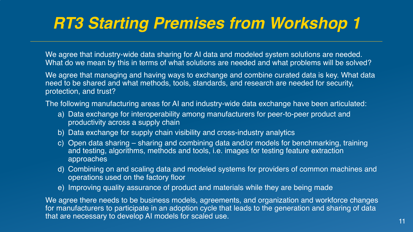# *RT3 Starting Premises from Workshop 1*

We agree that industry-wide data sharing for AI data and modeled system solutions are needed. What do we mean by this in terms of what solutions are needed and what problems will be solved?

We agree that managing and having ways to exchange and combine curated data is key. What data need to be shared and what methods, tools, standards, and research are needed for security, protection, and trust?

The following manufacturing areas for AI and industry-wide data exchange have been articulated:

- a) Data exchange for interoperability among manufacturers for peer-to-peer product and productivity across a supply chain
- b) Data exchange for supply chain visibility and cross-industry analytics
- c) Open data sharing sharing and combining data and/or models for benchmarking, training and testing, algorithms, methods and tools, i.e. images for testing feature extraction approaches
- d) Combining on and scaling data and modeled systems for providers of common machines and operations used on the factory floor
- e) Improving quality assurance of product and materials while they are being made

We agree there needs to be business models, agreements, and organization and workforce changes for manufacturers to participate in an adoption cycle that leads to the generation and sharing of data that are necessary to develop AI models for scaled use. <sup>11</sup>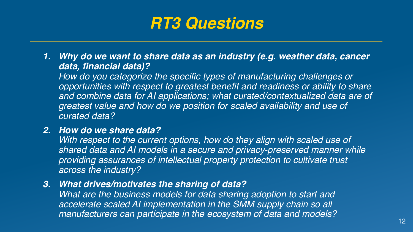*1. Why do we want to share data as an industry (e.g. weather data, cancer data, financial data)?* 

*How do you categorize the specific types of manufacturing challenges or opportunities with respect to greatest benefit and readiness or ability to share and combine data for AI applications; what curated/contextualized data are of greatest value and how do we position for scaled availability and use of curated data?* 

### *2. How do we share data?*

*With respect to the current options, how do they align with scaled use of shared data and AI models in a secure and privacy-preserved manner while providing assurances of intellectual property protection to cultivate trust across the industry?*

*3. What drives/motivates the sharing of data?*

*What are the business models for data sharing adoption to start and accelerate scaled AI implementation in the SMM supply chain so all manufacturers can participate in the ecosystem of data and models?* 12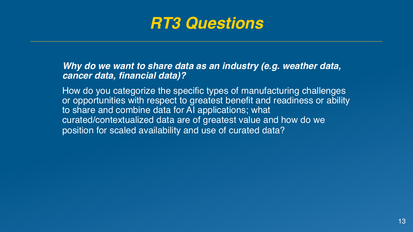

*Why do we want to share data as an industry (e.g. weather data, cancer data, financial data)?* 

How do you categorize the specific types of manufacturing challenges or opportunities with respect to greatest benefit and readiness or ability to share and combine data for AI applications; what curated/contextualized data are of greatest value and how do we position for scaled availability and use of curated data?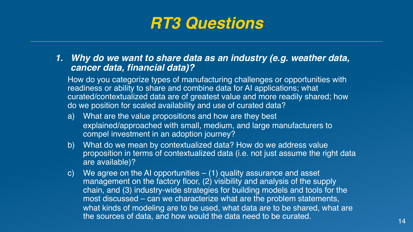*1. Why do we want to share data as an industry (e.g. weather data, cancer data, financial data)?* 

How do you categorize types of manufacturing challenges or opportunities with readiness or ability to share and combine data for AI applications; what curated/contextualized data are of greatest value and more readily shared; how do we position for scaled availability and use of curated data?

- a) What are the value propositions and how are they best explained/approached with small, medium, and large manufacturers to compel investment in an adoption journey?
- b) What do we mean by contextualized data? How do we address value proposition in terms of contextualized data (i.e. not just assume the right data are available)?
- c) We agree on the AI opportunities  $-$  (1) quality assurance and asset management on the factory floor, (2) visibility and analysis of the supply chain, and (3) industry-wide strategies for building models and tools for the most discussed – can we characterize what are the problem statements, what kinds of modeling are to be used, what data are to be shared, what are the sources of data, and how would the data need to be curated.  $14$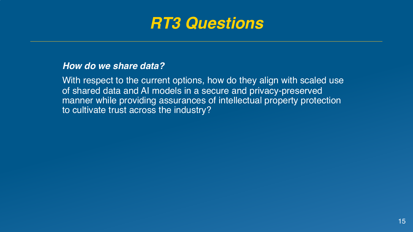

#### *How do we share data?*

With respect to the current options, how do they align with scaled use of shared data and AI models in a secure and privacy-preserved manner while providing assurances of intellectual property protection to cultivate trust across the industry?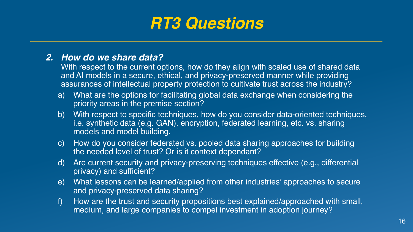### *2. How do we share data?*

With respect to the current options, how do they align with scaled use of shared data and AI models in a secure, ethical, and privacy-preserved manner while providing assurances of intellectual property protection to cultivate trust across the industry?

- a) What are the options for facilitating global data exchange when considering the priority areas in the premise section?
- b) With respect to specific techniques, how do you consider data-oriented techniques, i.e. synthetic data (e.g. GAN), encryption, federated learning, etc. vs. sharing models and model building.
- c) How do you consider federated vs. pooled data sharing approaches for building the needed level of trust? Or is it context dependant?
- d) Are current security and privacy-preserving techniques effective (e.g., differential privacy) and sufficient?
- e) What lessons can be learned/applied from other industries' approaches to secure and privacy-preserved data sharing?
- f) How are the trust and security propositions best explained/approached with small, medium, and large companies to compel investment in adoption journey?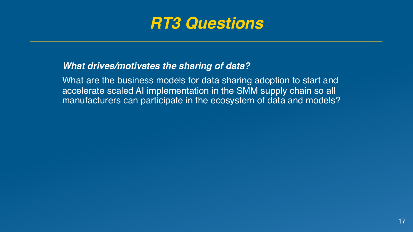

### *What drives/motivates the sharing of data?*

What are the business models for data sharing adoption to start and accelerate scaled AI implementation in the SMM supply chain so all manufacturers can participate in the ecosystem of data and models?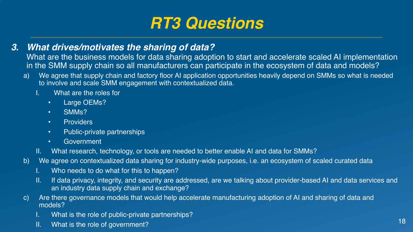- *3. What drives/motivates the sharing of data?*
	- What are the business models for data sharing adoption to start and accelerate scaled AI implementation in the SMM supply chain so all manufacturers can participate in the ecosystem of data and models?
	- a) We agree that supply chain and factory floor AI application opportunities heavily depend on SMMs so what is needed to involve and scale SMM engagement with contextualized data.
		- I. What are the roles for
			- Large OEMs?
			- SMMs?
			- Providers
			- Public-private partnerships
			- Government
		- II. What research, technology, or tools are needed to better enable AI and data for SMMs?
	- b) We agree on contextualized data sharing for industry-wide purposes, i.e. an ecosystem of scaled curated data
		- I. Who needs to do what for this to happen?
		- II. If data privacy, integrity, and security are addressed, are we talking about provider-based AI and data services and an industry data supply chain and exchange?
	- c) Are there governance models that would help accelerate manufacturing adoption of AI and sharing of data and models?
		- I. What is the role of public-private partnerships?
		- II. What is the role of government? 18 and the role of the role of the role of the role of the role of government?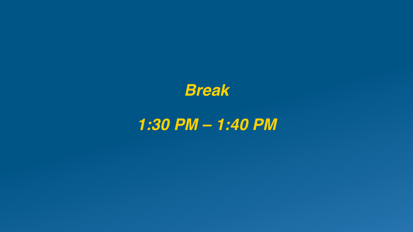

## *1:30 PM – 1:40 PM*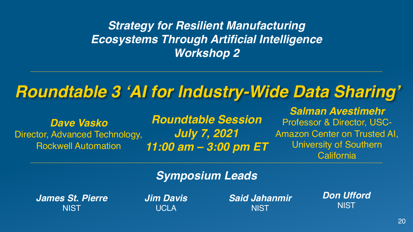### *Strategy for Resilient Manufacturing Ecosystems Through Artificial Intelligence Workshop 2*

## *Roundtable 3 'AI for Industry-Wide Data Sharing'*

*Dave Vasko* Director, Advanced Technology, Rockwell Automation

*Roundtable Session July 7, 2021 11:00 am – 3:00 pm ET*

*Salman Avestimehr* Professor & Director, USC-Amazon Center on Trusted AI, University of Southern **California** 

### *Symposium Leads*

*James St. Pierre* **NIST** 

*Jim Davis* **UCLA** 

*Said Jahanmir* **NIST** 

*Don Ufford* **NIST**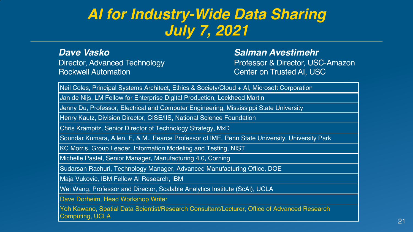### *AI for Industry-Wide Data Sharing July 7, 2021*

*Dave Vasko* Director, Advanced Technology Rockwell Automation

#### *Salman Avestimehr*

Professor & Director, USC-Amazon Center on Trusted AI, USC

Neil Coles, Principal Systems Architect, Ethics & Society/Cloud + AI, Microsoft Corporation

Jan de Nijs, LM Fellow for Enterprise Digital Production, Lockheed Martin

Jenny Du, Professor, Electrical and Computer Engineering, Mississippi State University

Henry Kautz, Division Director, CISE/IIS, National Science Foundation

Chris Krampitz, Senior Director of Technology Strategy, MxD

Soundar Kumara, Allen, E, & M., Pearce Professor of IME, Penn State University, University Park

KC Morris, Group Leader, Information Modeling and Testing, NIST

Michelle Pastel, Senior Manager, Manufacturing 4.0, Corning

Sudarsan Rachuri, Technology Manager, Advanced Manufacturing Office, DOE

Maja Vukovic, IBM Fellow AI Research, IBM

Wei Wang, Professor and Director, Scalable Analytics Institute (ScAi), UCLA

Dave Dorheim, Head Workshop Writer

Yoh Kawano, Spatial Data Scientist/Research Consultant/Lecturer, Office of Advanced Research Computing, UCLA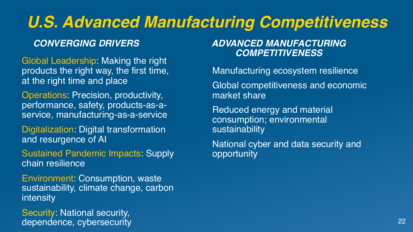# *U.S. Advanced Manufacturing Competitiveness*

Global Leadership: Making the right products the right way, the first time, at the right time and place

Operations: Precision, productivity, performance, safety, products-as-aservice, manufacturing-as-a-service

Digitalization: Digital transformation and resurgence of AI

**Sustained Pandemic Impacts: Supply** chain resilience

Environment: Consumption, waste sustainability, climate change, carbon intensity

Security: National security, dependence, cybersecurity

### *CONVERGING DRIVERS ADVANCED MANUFACTURING COMPETITIVENESS*

Manufacturing ecosystem resilience Global competitiveness and economic market share

Reduced energy and material consumption; environmental sustainability

National cyber and data security and opportunity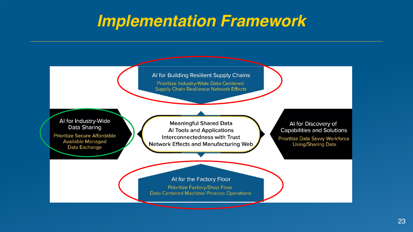### *Implementation Framework*

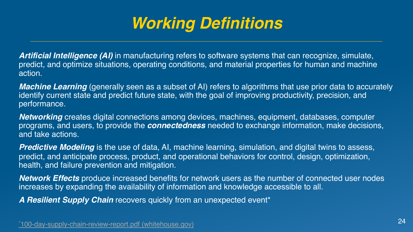# *Working Definitions*

**Artificial Intelligence (AI)** in manufacturing refers to software systems that can recognize, sin predict, and optimize situations, operating conditions, and material properties for human and n action.

*Machine Learning* (generally seen as a subset of AI) refers to algorithms that use prior data to identify current state and predict future state, with the goal of improving productivity, precision, performance.

**Networking** creates digital connections among devices, machines, equipment, databases, core programs, and users, to provide the **connectedness** needed to exchange information, make deand take actions.

**Predictive Modeling** is the use of data, AI, machine learning, simulation, and digital twins to a predict, and anticipate process, product, and operational behaviors for control, design, optimiz health, and failure prevention and mitigation.

*Network Effects* produce increased benefits for network users as the number of connected us increases by expanding the availability of information and knowledge accessible to all.

*A Resilient Supply Chain* recovers quickly from an unexpected event\*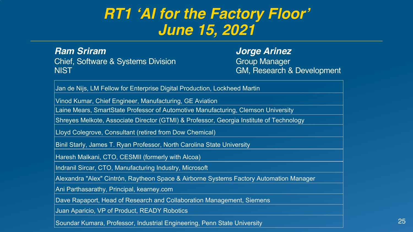### *RT1 'AI for the Factory Floor' June 15, 2021*

*Ram Sriram* Chief, Software & Systems Division NIST

*Jorge Arinez* **Group Manager** GM, Research & Development

Jan de Nijs, LM Fellow for Enterprise Digital Production, Lockheed Martin

Vinod Kumar, Chief Engineer, Manufacturing, GE Aviation

Laine Mears, SmartState Professor of Automotive Manufacturing, Clemson University

Shreyes Melkote, Associate Director (GTMI) & Professor, Georgia Institute of Technology

Lloyd Colegrove, Consultant (retired from Dow Chemical)

Binil Starly, James T. Ryan Professor, North Carolina State University

Haresh Malkani, CTO, CESMII (formerly with Alcoa)

Indranil Sircar, CTO, Manufacturing Industry, Microsoft

Alexandra "Alex" Cintrón, Raytheon Space & Airborne Systems Factory Automation Manager

Ani Parthasarathy, Principal, kearney.com

Dave Rapaport, Head of Research and Collaboration Management, Siemens

Juan Aparicio, VP of Product, READY Robotics

Soundar Kumara, Professor, Industrial Engineering, Penn State University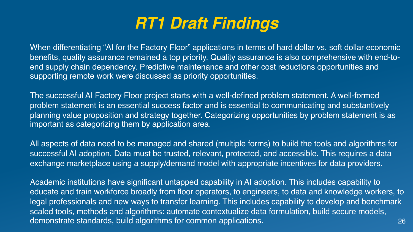# *RT1 Draft Findings*

When differentiating "AI for the Factory Floor" applications in terms of hard dollar vs. soft dollar economic benefits, quality assurance remained a top priority. Quality assurance is also comprehensive with end-toend supply chain dependency. Predictive maintenance and other cost reductions opportunities and supporting remote work were discussed as priority opportunities.

The successful AI Factory Floor project starts with a well-defined problem statement. A well-formed problem statement is an essential success factor and is essential to communicating and substantively planning value proposition and strategy together. Categorizing opportunities by problem statement is as important as categorizing them by application area.

All aspects of data need to be managed and shared (multiple forms) to build the tools and algorithms for successful AI adoption. Data must be trusted, relevant, protected, and accessible. This requires a data exchange marketplace using a supply/demand model with appropriate incentives for data providers.

26 Academic institutions have significant untapped capability in AI adoption. This includes capability to educate and train workforce broadly from floor operators, to engineers, to data and knowledge workers, to legal professionals and new ways to transfer learning. This includes capability to develop and benchmark scaled tools, methods and algorithms: automate contextualize data formulation, build secure models, demonstrate standards, build algorithms for common applications.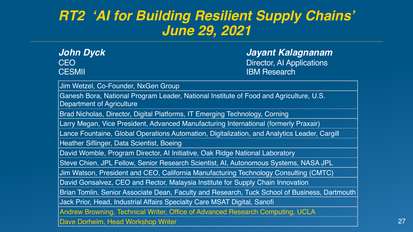### *RT2 'AI for Building Resilient Supply Chains' June 29, 2021*

| John Dyck     | Jayant Kalagnanam         |
|---------------|---------------------------|
| CEO           | Director, Al Applications |
| <b>CESMII</b> | <b>IBM Research</b>       |

Jim Wetzel, Co-Founder, NxGen Group

Ganesh Bora, National Program Leader, National Institute of Food and Agriculture, U.S. Department of Agriculture

Brad Nicholas, Director, Digital Platforms, IT Emerging Technology, Corning

Larry Megan, Vice President, Advanced Manufacturing International (formerly Praxair)

Lance Fountaine, Global Operations Automation, Digitalization, and Analytics Leader, Cargill

Heather Siflinger, Data Scientist, Boeing

David Womble, Program Director, AI Initiative, Oak Ridge National Laboratory

Steve Chien, JPL Fellow, Senior Research Scientist, AI, Autonomous Systems, NASA JPL

Jim Watson, President and CEO, California Manufacturing Technology Consulting (CMTC)

David Gonsalvez, CEO and Rector, Malaysia Institute for Supply Chain Innovation

Brian Tomlin, Senior Associate Dean, Faculty and Research, Tuck School of Business, Dartmouth

Jack Prior, Head, Industrial Affairs Specialty Care MSAT Digital, Sanofi

Andrew Browning, Technical Writer, Office of Advanced Research Computing, UCLA

Dave Dorheim, Head Workshop Writer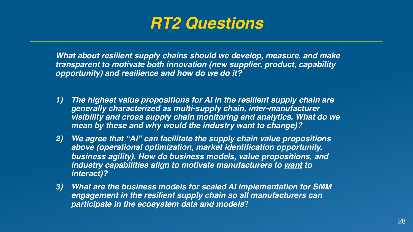

*What about resilient supply chains should we develop, measure, and make transparent to motivate both innovation (new supplier, product, capability opportunity) and resilience and how do we do it?*

- *1) The highest value propositions for AI in the resilient supply chain are generally characterized as multi-supply chain, inter-manufacturer visibility and cross supply chain monitoring and analytics. What do we mean by these and why would the industry want to change)?*
- *2) We agree that "AI" can facilitate the supply chain value propositions above (operational optimization, market identification opportunity, business agility). How do business models, value propositions, and industry capabilities align to motivate manufacturers to want to interact)?*
- *3) What are the business models for scaled AI implementation for SMM engagement in the resilient supply chain so all manufacturers can participate in the ecosystem data and models*?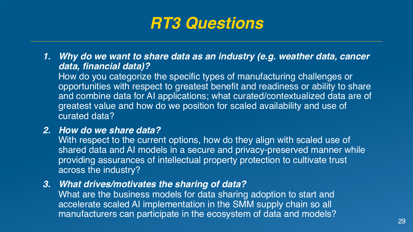*1. Why do we want to share data as an industry (e.g. weather data, cancer data, financial data)?* 

How do you categorize the specific types of manufacturing challenges or opportunities with respect to greatest benefit and readiness or ability to share and combine data for AI applications; what curated/contextualized data are of greatest value and how do we position for scaled availability and use of curated data?

### *2. How do we share data?*

With respect to the current options, how do they align with scaled use of shared data and AI models in a secure and privacy-preserved manner while providing assurances of intellectual property protection to cultivate trust across the industry?

*3. What drives/motivates the sharing of data?*

What are the business models for data sharing adoption to start and accelerate scaled AI implementation in the SMM supply chain so all manufacturers can participate in the ecosystem of data and models?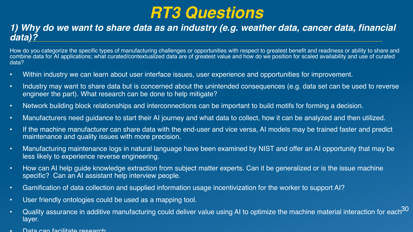### *1) Why do we want to share data as an industry (e.g. weather data, cancer data, financial data)?*

How do you categorize the specific types of manufacturing challenges or opportunities with respect to greatest benefit and readiness or ability to share and combine data for AI applications; what curated/contextualized data are of greatest value and how do we position for scaled availability and use of curated data?

- Within industry we can learn about user interface issues, user experience and opportunities for improvement.
- Industry may want to share data but is concerned about the unintended consequences (e.g. data set can be used to reverse engineer the part). What research can be done to help mitigate?
- Network building block relationships and interconnections can be important to build motifs for forming a decision.
- Manufacturers need guidance to start their AI journey and what data to collect, how it can be analyzed and then utilized.
- If the machine manufacturer can share data with the end-user and vice versa, AI models may be trained faster and predict maintenance and quality issues with more precision.
- Manufacturing maintenance logs in natural language have been examined by NIST and offer an AI opportunity that may be less likely to experience reverse engineering.
- How can AI help guide knowledge extraction from subject matter experts. Can it be generalized or is the issue machine specific? Can an AI assistant help interview people.
- Gamification of data collection and supplied information usage incentivization for the worker to support AI?
- User friendly ontologies could be used as a mapping tool.
- Cuality assurance in additive manufacturing could deliver value using AI to optimize the machine material interaction for each $^{30}$ layer.
- Data can facilitate research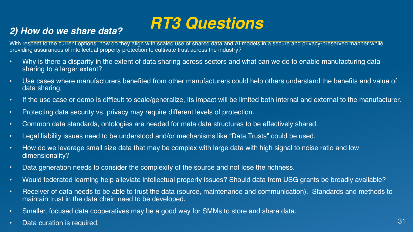# *RT3 Questions 2) How do we share data?*

With respect to the current options, how do they align with scaled use of shared data and AI models in a secure and privacy-preserved manner while providing assurances of intellectual property protection to cultivate trust across the industry?

- Why is there a disparity in the extent of data sharing across sectors and what can we do to enable manufacturing data sharing to a larger extent?
- Use cases where manufacturers benefited from other manufacturers could help others understand the benefits and value of data sharing.
- If the use case or demo is difficult to scale/generalize, its impact will be limited both internal and external to the manufacturer.
- Protecting data security vs. privacy may require different levels of protection.
- Common data standards, ontologies are needed for meta data structures to be effectively shared.
- Legal liability issues need to be understood and/or mechanisms like "Data Trusts" could be used.
- How do we leverage small size data that may be complex with large data with high signal to noise ratio and low dimensionality?
- Data generation needs to consider the complexity of the source and not lose the richness.
- Would federated learning help alleviate intellectual property issues? Should data from USG grants be broadly available?
- Receiver of data needs to be able to trust the data (source, maintenance and communication). Standards and methods to maintain trust in the data chain need to be developed.
- Smaller, focused data cooperatives may be a good way for SMMs to store and share data.
- Data curation is required. 31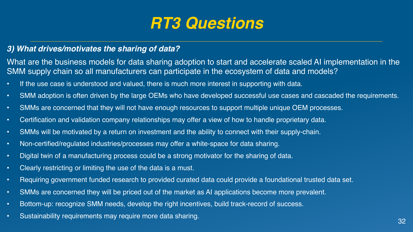### *3) What drives/motivates the sharing of data?*

What are the business models for data sharing adoption to start and accelerate scaled AI implementation in the SMM supply chain so all manufacturers can participate in the ecosystem of data and models?

- If the use case is understood and valued, there is much more interest in supporting with data.
- SMM adoption is often driven by the large OEMs who have developed successful use cases and cascaded the requirements.
- SMMs are concerned that they will not have enough resources to support multiple unique OEM processes.
- Certification and validation company relationships may offer a view of how to handle proprietary data.
- SMMs will be motivated by a return on investment and the ability to connect with their supply-chain.
- Non-certified/regulated industries/processes may offer a white-space for data sharing.
- Digital twin of a manufacturing process could be a strong motivator for the sharing of data.
- Clearly restricting or limiting the use of the data is a must.
- Requiring government funded research to provided curated data could provide a foundational trusted data set.
- SMMs are concerned they will be priced out of the market as AI applications become more prevalent.
- Bottom-up: recognize SMM needs, develop the right incentives, build track-record of success.
- Sustainability requirements may require more data sharing. **32** and 32 and 32 and 32 and 32 and 32 and 32 and 32 and 32 and 32 and 32 and 32 and 32 and 32 and 32 and 32 and 32 and 32 and 32 and 32 and 32 and 32 and 32 an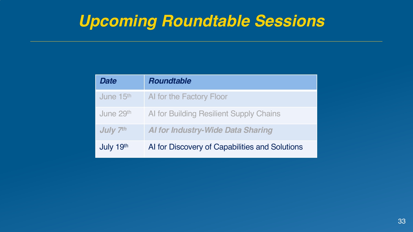# *Upcoming Roundtable Sessions*

| Date                  | <b>Roundtable</b>                              |
|-----------------------|------------------------------------------------|
| June 15 <sup>th</sup> | Al for the Factory Floor                       |
| June 29th             | Al for Building Resilient Supply Chains        |
| July 7th              | <b>Al for Industry-Wide Data Sharing</b>       |
| July 19th             | Al for Discovery of Capabilities and Solutions |